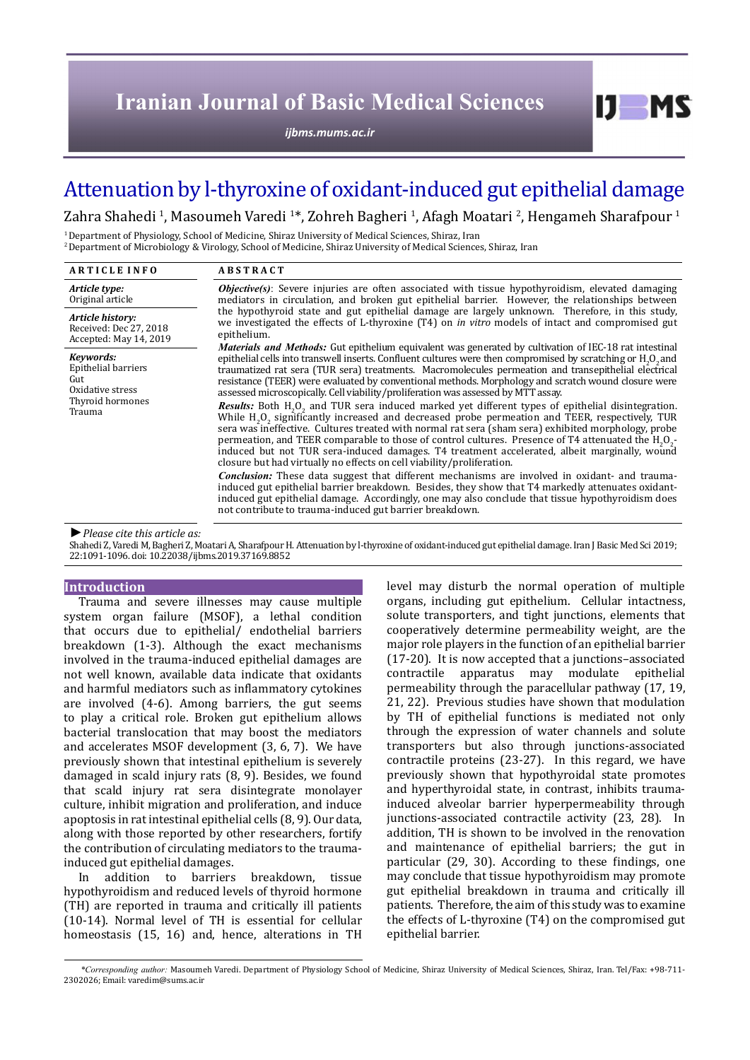# **Iranian Journal of Basic Medical Sciences**

*[ijbms.mums.ac.ir](http://ijbms.mums.ac.ir)*

# Attenuation by l-thyroxine of oxidant-induced gut epithelial damage

Zahra Shahedi <sup>1</sup>, Masoumeh Varedi 1\*, Zohreh Bagheri <sup>1</sup>, Afagh Moatari <sup>2</sup>, Hengameh Sharafpour 1

<sup>1</sup> Department of Physiology, School of Medicine, Shiraz University of Medical Sciences, Shiraz, Iran 2 Department of Microbiology & Virology, School of Medicine, Shiraz University of Medical Sciences, Shiraz, Iran

| <b>ARTICLE INFO</b>                                                                       | <b>ABSTRACT</b>                                                                                                                                                                                                                                                                                                                                                                                                                                                                                                                                                                                                                                                                                                                                                                                                                                                                                                                                                                                                                                                                                                                                                                                                                                                                                                                                                                                                         |
|-------------------------------------------------------------------------------------------|-------------------------------------------------------------------------------------------------------------------------------------------------------------------------------------------------------------------------------------------------------------------------------------------------------------------------------------------------------------------------------------------------------------------------------------------------------------------------------------------------------------------------------------------------------------------------------------------------------------------------------------------------------------------------------------------------------------------------------------------------------------------------------------------------------------------------------------------------------------------------------------------------------------------------------------------------------------------------------------------------------------------------------------------------------------------------------------------------------------------------------------------------------------------------------------------------------------------------------------------------------------------------------------------------------------------------------------------------------------------------------------------------------------------------|
| Article type:<br>Original article                                                         | <b><i>Objective(s)</i></b> : Severe injuries are often associated with tissue hypothyroidism, elevated damaging<br>mediators in circulation, and broken gut epithelial barrier. However, the relationships between<br>the hypothyroid state and gut epithelial damage are largely unknown. Therefore, in this study,<br>we investigated the effects of L-thyroxine (T4) on <i>in vitro</i> models of intact and compromised gut<br>epithelium.                                                                                                                                                                                                                                                                                                                                                                                                                                                                                                                                                                                                                                                                                                                                                                                                                                                                                                                                                                          |
| Article history:<br>Received: Dec 27, 2018<br>Accepted: May 14, 2019                      |                                                                                                                                                                                                                                                                                                                                                                                                                                                                                                                                                                                                                                                                                                                                                                                                                                                                                                                                                                                                                                                                                                                                                                                                                                                                                                                                                                                                                         |
| Kevwords:<br>Epithelial barriers<br>Gut<br>Oxidative stress<br>Thyroid hormones<br>Trauma | <i>Materials and Methods:</i> Gut epithelium equivalent was generated by cultivation of IEC-18 rat intestinal<br>epithelial cells into transwell inserts. Confluent cultures were then compromised by scratching or H <sub>2</sub> O <sub>2</sub> and<br>traumatized rat sera (TUR sera) treatments. Macromolecules permeation and transepithelial electrical<br>resistance (TEER) were evaluated by conventional methods. Morphology and scratch wound closure were<br>assessed microscopically. Cell viability/proliferation was assessed by MTT assay.<br>Results: Both H <sub>2</sub> O <sub>2</sub> and TUR sera induced marked yet different types of epithelial disintegration.<br>While H <sub>2</sub> O <sub>2</sub> significantly increased and decreased probe permeation and TEER, respectively, TUR<br>sera was ineffective. Cultures treated with normal rat sera (sham sera) exhibited morphology, probe<br>permeation, and TEER comparable to those of control cultures. Presence of T4 attenuated the $H_2O_2$ -<br>induced but not TUR sera-induced damages. T4 treatment accelerated, albeit marginally, wound<br>closure but had virtually no effects on cell viability/proliferation.<br><b>Conclusion:</b> These data suggest that different mechanisms are involved in oxidant- and trauma-<br>induced gut epithelial barrier breakdown. Besides, they show that T4 markedly attenuates oxidant- |
|                                                                                           | induced gut epithelial damage. Accordingly, one may also conclude that tissue hypothyroidism does<br>not contribute to trauma-induced gut barrier breakdown.                                                                                                                                                                                                                                                                                                                                                                                                                                                                                                                                                                                                                                                                                                                                                                                                                                                                                                                                                                                                                                                                                                                                                                                                                                                            |
| $\blacksquare$ Dlagge aite this article as:                                               |                                                                                                                                                                                                                                                                                                                                                                                                                                                                                                                                                                                                                                                                                                                                                                                                                                                                                                                                                                                                                                                                                                                                                                                                                                                                                                                                                                                                                         |

*►Please cite this article as:*

Shahedi Z, Varedi M, Bagheri Z, Moatari A, Sharafpour H. Attenuation by l-thyroxine of oxidant-induced gut epithelial damage. Iran J Basic Med Sci 2019; 22:1091-1096. doi: 10.22038/ijbms.2019.37169.8852

### **Introduction**

Trauma and severe illnesses may cause multiple system organ failure (MSOF), a lethal condition that occurs due to epithelial/ endothelial barriers breakdown (1-3). Although the exact mechanisms involved in the trauma-induced epithelial damages are not well known, available data indicate that oxidants and harmful mediators such as inflammatory cytokines are involved (4-6). Among barriers, the gut seems to play a critical role. Broken gut epithelium allows bacterial translocation that may boost the mediators and accelerates MSOF development (3, 6, 7). We have previously shown that intestinal epithelium is severely damaged in scald injury rats (8, 9). Besides, we found that scald injury rat sera disintegrate monolayer culture, inhibit migration and proliferation, and induce apoptosis in rat intestinal epithelial cells (8, 9). Our data, along with those reported by other researchers, fortify the contribution of circulating mediators to the traumainduced gut epithelial damages.

In addition to barriers breakdown, tissue hypothyroidism and reduced levels of thyroid hormone (TH) are reported in trauma and critically ill patients (10-14). Normal level of TH is essential for cellular homeostasis (15, 16) and, hence, alterations in TH

level may disturb the normal operation of multiple organs, including gut epithelium. Cellular intactness, solute transporters, and tight junctions, elements that cooperatively determine permeability weight, are the major role players in the function of an epithelial barrier (17-20). It is now accepted that a junctions–associated contractile apparatus may modulate epithelial permeability through the paracellular pathway (17, 19, 21, 22). Previous studies have shown that modulation by TH of epithelial functions is mediated not only through the expression of water channels and solute transporters but also through junctions-associated contractile proteins (23-27). In this regard, we have previously shown that hypothyroidal state promotes and hyperthyroidal state, in contrast, inhibits traumainduced alveolar barrier hyperpermeability through junctions-associated contractile activity (23, 28). In addition, TH is shown to be involved in the renovation and maintenance of epithelial barriers; the gut in particular (29, 30). According to these findings, one may conclude that tissue hypothyroidism may promote gut epithelial breakdown in trauma and critically ill patients. Therefore, the aim of this study was to examine the effects of L-thyroxine (T4) on the compromised gut epithelial barrier.

 $I$   $I$   $M$   $S$ 

*\*Corresponding author:* Masoumeh Varedi. Department of Physiology School of Medicine, Shiraz University of Medical Sciences, Shiraz, Iran. Tel/Fax: +98-711- 2302026; Email: varedim@sums.ac.ir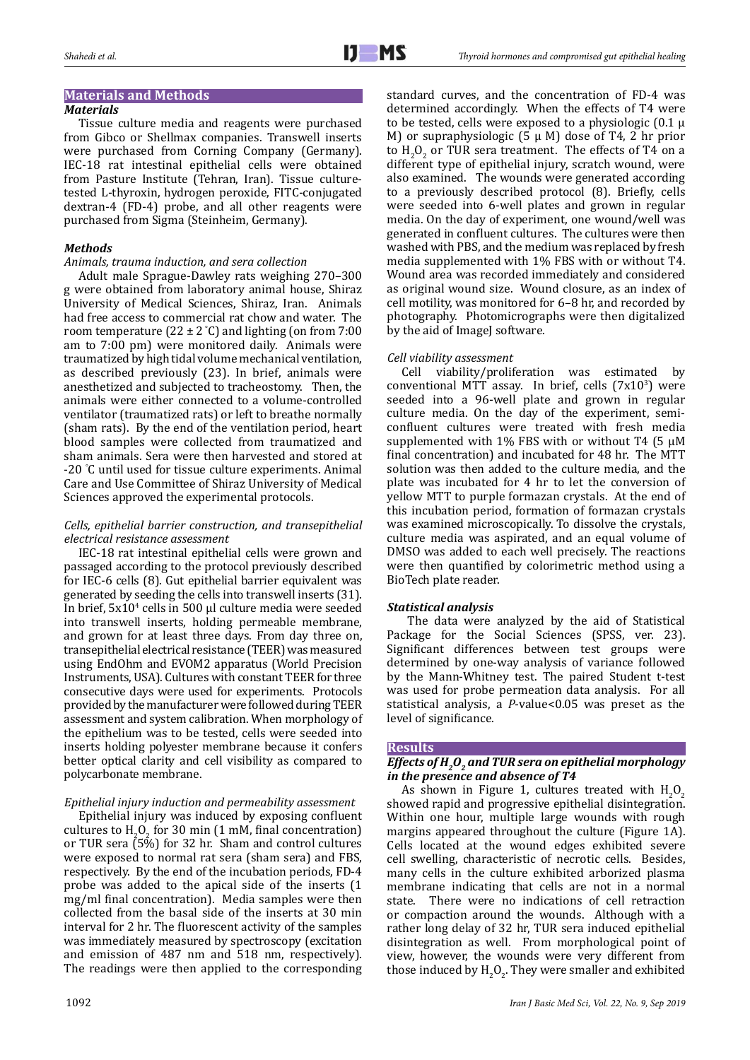# **Materials and Methods**

### *Materials*

Tissue culture media and reagents were purchased from Gibco or Shellmax companies. Transwell inserts were purchased from Corning Company (Germany). IEC-18 rat intestinal epithelial cells were obtained from Pasture Institute (Tehran, Iran). Tissue culturetested L-thyroxin, hydrogen peroxide, FITC-conjugated dextran-4 (FD-4) probe, and all other reagents were purchased from Sigma (Steinheim, Germany).

### *Methods*

## *Animals, trauma induction, and sera collection*

Adult male Sprague-Dawley rats weighing 270–300 g were obtained from laboratory animal house, Shiraz University of Medical Sciences, Shiraz, Iran. Animals had free access to commercial rat chow and water. The room temperature (22 ± 2 ° C) and lighting (on from 7:00 am to 7:00 pm) were monitored daily. Animals were traumatized by high tidal volume mechanical ventilation, as described previously (23). In brief, animals were anesthetized and subjected to tracheostomy. Then, the animals were either connected to a volume-controlled ventilator (traumatized rats) or left to breathe normally (sham rats). By the end of the ventilation period, heart blood samples were collected from traumatized and sham animals. Sera were then harvested and stored at -20 ° C until used for tissue culture experiments. Animal Care and Use Committee of Shiraz University of Medical Sciences approved the experimental protocols.

#### *Cells, epithelial barrier construction, and transepithelial electrical resistance assessment*

IEC-18 rat intestinal epithelial cells were grown and passaged according to the protocol previously described for IEC-6 cells (8). Gut epithelial barrier equivalent was generated by seeding the cells into transwell inserts (31). In brief,  $5x10<sup>4</sup>$  cells in 500 µl culture media were seeded into transwell inserts, holding permeable membrane, and grown for at least three days. From day three on, transepithelial electrical resistance (TEER) was measured using EndOhm and EVOM2 apparatus (World Precision Instruments, USA). Cultures with constant TEER for three consecutive days were used for experiments. Protocols provided by the manufacturer were followed during TEER assessment and system calibration. When morphology of the epithelium was to be tested, cells were seeded into inserts holding polyester membrane because it confers better optical clarity and cell visibility as compared to polycarbonate membrane.

## *Epithelial injury induction and permeability assessment*

Epithelial injury was induced by exposing confluent cultures to  $H_2O_2$  for 30 min (1 mM, final concentration) or TUR sera (5%) for 32 hr. Sham and control cultures were exposed to normal rat sera (sham sera) and FBS, respectively. By the end of the incubation periods, FD-4 probe was added to the apical side of the inserts (1 mg/ml final concentration). Media samples were then collected from the basal side of the inserts at 30 min interval for 2 hr. The fluorescent activity of the samples was immediately measured by spectroscopy (excitation and emission of 487 nm and 518 nm, respectively). The readings were then applied to the corresponding

standard curves, and the concentration of FD-4 was determined accordingly. When the effects of T4 were to be tested, cells were exposed to a physiologic  $(0.1 \mu)$ M) or supraphysiologic  $(5 \mu M)$  dose of T4, 2 hr prior to  $H_2O_2$  or TUR sera treatment. The effects of T4 on a different type of epithelial injury, scratch wound, were also examined. The wounds were generated according to a previously described protocol (8). Briefly, cells were seeded into 6-well plates and grown in regular media. On the day of experiment, one wound/well was generated in confluent cultures. The cultures were then washed with PBS, and the medium was replaced by fresh media supplemented with 1% FBS with or without T4. Wound area was recorded immediately and considered as original wound size. Wound closure, as an index of cell motility, was monitored for 6–8 hr, and recorded by photography. Photomicrographs were then digitalized by the aid of ImageJ software.

## *Cell viability assessment*

Cell viability/proliferation was estimated by  $conventional MTT$  assay. In brief, cells  $(7x10<sup>3</sup>)$  were seeded into a 96-well plate and grown in regular culture media. On the day of the experiment, semiconfluent cultures were treated with fresh media supplemented with 1% FBS with or without T4 (5  $\mu$ M final concentration) and incubated for 48 hr. The MTT solution was then added to the culture media, and the plate was incubated for 4 hr to let the conversion of yellow MTT to purple formazan crystals. At the end of this incubation period, formation of formazan crystals was examined microscopically. To dissolve the crystals, culture media was aspirated, and an equal volume of DMSO was added to each well precisely. The reactions were then quantified by colorimetric method using a BioTech plate reader.

#### *Statistical analysis*

The data were analyzed by the aid of Statistical Package for the Social Sciences (SPSS, ver. 23). Significant differences between test groups were determined by one-way analysis of variance followed by the Mann-Whitney test. The paired Student t-test was used for probe permeation data analysis. For all statistical analysis, a *P*-value<0.05 was preset as the level of significance.

#### **Results**

# *Effects of H<sub>2</sub>O<sub>2</sub> and TUR sera on epithelial morphology in the presence and absence of T4*

As shown in Figure 1, cultures treated with  $H_2O_2$ showed rapid and progressive epithelial disintegration. Within one hour, multiple large wounds with rough margins appeared throughout the culture (Figure 1A). Cells located at the wound edges exhibited severe cell swelling, characteristic of necrotic cells. Besides, many cells in the culture exhibited arborized plasma membrane indicating that cells are not in a normal state. There were no indications of cell retraction or compaction around the wounds. Although with a rather long delay of 32 hr, TUR sera induced epithelial disintegration as well. From morphological point of view, however, the wounds were very different from those induced by  $\mathrm{H_2O_2}$ . They were smaller and exhibited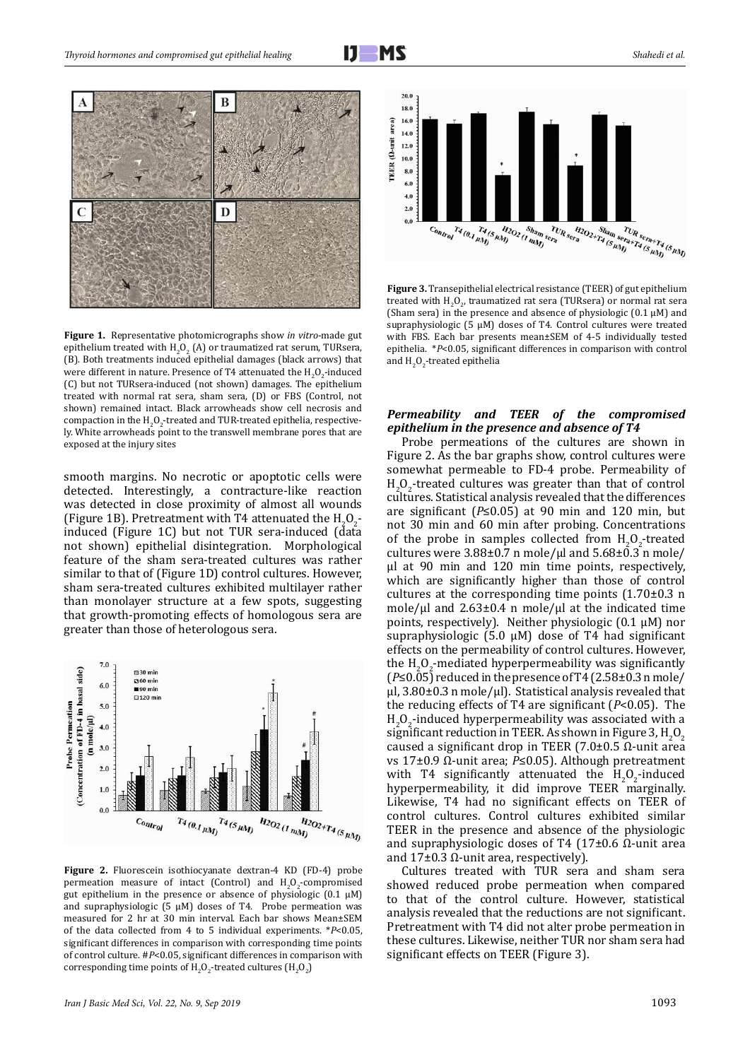

**Figure 1.** Representative photomicrographs show *in vitro*-made gut epithelium treated with  $H_2O_2$  (A) or traumatized rat serum, TURsera, (B). Both treatments induced epithelial damages (black arrows) that were different in nature. Presence of T4 attenuated the  $H_2O_2$ -induced (C) but not TURsera-induced (not shown) damages. The epithelium treated with normal rat sera, sham sera, (D) or FBS (Control, not shown) remained intact. Black arrowheads show cell necrosis and compaction in the  $H_2O_2$ -treated and TUR-treated epithelia, respectively. White arrowheads point to the transwell membrane pores that are exposed at the injury sites

smooth margins. No necrotic or apoptotic cells were detected. Interestingly, a contracture-like reaction was detected in close proximity of almost all wounds (Figure 1B). Pretreatment with T4 attenuated the  $H_2O_2$ . induced (Figure 1C) but not TUR sera-induced (data not shown) epithelial disintegration. Morphological feature of the sham sera-treated cultures was rather similar to that of (Figure 1D) control cultures. However, sham sera-treated cultures exhibited multilayer rather than monolayer structure at a few spots, suggesting that growth-promoting effects of homologous sera are greater than those of heterologous sera.



**Figure 2.** Fluorescein isothiocyanate dextran-4 KD (FD-4) probe permeation measure of intact (Control) and  $H_2O_2$ -compromised gut epithelium in the presence or absence of physiologic (0.1 μM) and supraphysiologic (5  $\mu$ M) doses of T4. Probe permeation was measured for 2 hr at 30 min interval. Each bar shows Mean±SEM of the data collected from 4 to 5 individual experiments. \**P*<0.05, significant differences in comparison with corresponding time points of control culture. #*P*<0.05, significant differences in comparison with corresponding time points of  $H_2O_2$ -treated cultures ( $H_2O_2$ )



**Figure 3.** Transepithelial electrical resistance (TEER) of gut epithelium treated with  $H_2O_2$ , traumatized rat sera (TURsera) or normal rat sera (Sham sera) in the presence and absence of physiologic  $(0.1 \mu M)$  and supraphysiologic (5 μM) doses of T4. Control cultures were treated with FBS. Each bar presents mean±SEM of 4-5 individually tested epithelia. \**P*<0.05, significant differences in comparison with control and  $H_2O_2$ -treated epithelia

#### *Permeability and TEER of the compromised epithelium in the presence and absence of T4*

Probe permeations of the cultures are shown in Figure 2. As the bar graphs show, control cultures were somewhat permeable to FD-4 probe. Permeability of  $H_2O_2$ -treated cultures was greater than that of control cultures. Statistical analysis revealed that the differences are significant (*P*≤0.05) at 90 min and 120 min, but not 30 min and 60 min after probing. Concentrations of the probe in samples collected from  $H_2O_2$ -treated cultures were  $3.88\pm0.7$  n mole/ $\mu$ l and  $5.68\pm0.3$  n mole/ μl at 90 min and 120 min time points, respectively, which are significantly higher than those of control cultures at the corresponding time points (1.70±0.3 n mole/ $\mu$ l and 2.63±0.4 n mole/ $\mu$ l at the indicated time points, respectively). Neither physiologic  $(0.1 \mu M)$  nor supraphysiologic (5.0 µM) dose of T4 had significant effects on the permeability of control cultures. However, the  $H_2O_2$ -mediated hyperpermeability was significantly (*P*≤0.05) reduced in the presence of T4 (2.58±0.3 n mole/  $\mu$ l, 3.80±0.3 n mole/ $\mu$ l). Statistical analysis revealed that the reducing effects of T4 are significant (*P*<0.05). The  $H_2O_2$ -induced hyperpermeability was associated with a significant reduction in TEER. As shown in Figure 3,  $H_2O_2$ caused a significant drop in TEER (7.0±0.5 Ω-unit area vs 17±0.9 Ω-unit area; *P*≤0.05). Although pretreatment with T4 significantly attenuated the  $H_2O_2$ -induced hyperpermeability, it did improve TEER marginally. Likewise, T4 had no significant effects on TEER of control cultures. Control cultures exhibited similar TEER in the presence and absence of the physiologic and supraphysiologic doses of T4 (17 $\pm$ 0.6 Ω-unit area and  $17±0.3$  Ω-unit area, respectively).

Cultures treated with TUR sera and sham sera showed reduced probe permeation when compared to that of the control culture. However, statistical analysis revealed that the reductions are not significant. Pretreatment with T4 did not alter probe permeation in these cultures. Likewise, neither TUR nor sham sera had significant effects on TEER (Figure 3).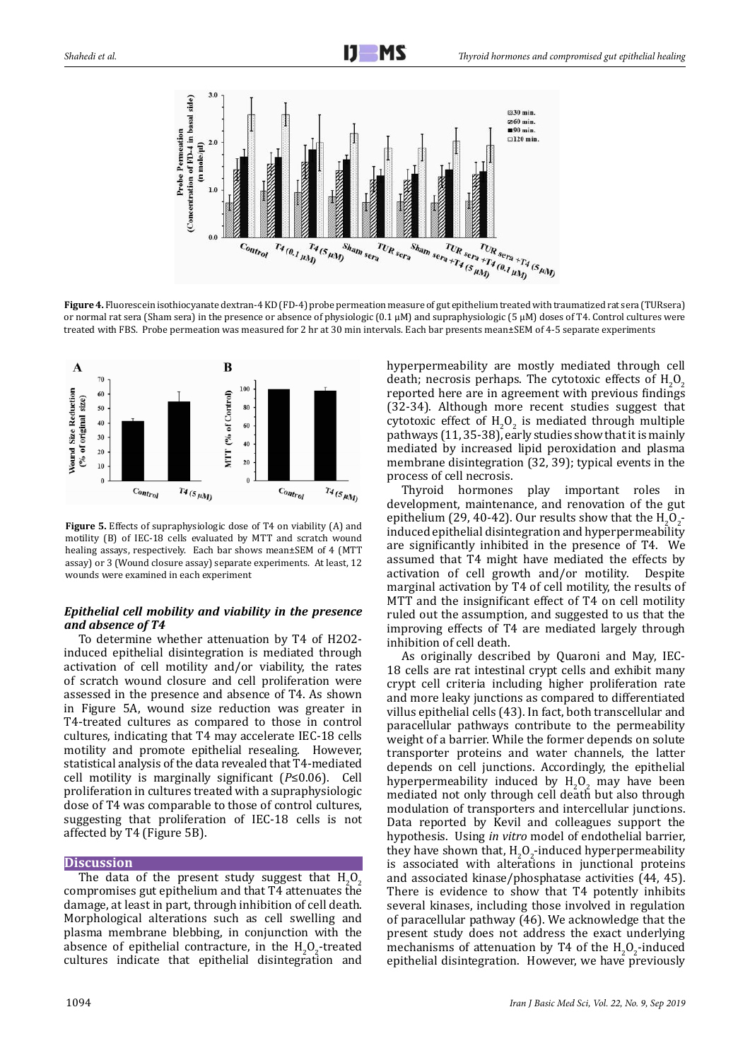

**Figure 4.** Fluorescein isothiocyanate dextran-4 KD (FD-4) probe permeation measure of gut epithelium treated with traumatized rat sera (TURsera) or normal rat sera (Sham sera) in the presence or absence of physiologic (0.1 μM) and supraphysiologic (5 μM) doses of T4. Control cultures were treated with FBS. Probe permeation was measured for 2 hr at 30 min intervals. Each bar presents mean±SEM of 4-5 separate experiments



**Figure 5.** Effects of supraphysiologic dose of T4 on viability (A) and motility (B) of IEC-18 cells evaluated by MTT and scratch wound healing assays, respectively. Each bar shows mean±SEM of 4 (MTT assay) or 3 (Wound closure assay) separate experiments. At least, 12 wounds were examined in each experiment

## *Epithelial cell mobility and viability in the presence and absence of T4*

To determine whether attenuation by T4 of H2O2 induced epithelial disintegration is mediated through activation of cell motility and/or viability, the rates of scratch wound closure and cell proliferation were assessed in the presence and absence of T4. As shown in Figure 5A, wound size reduction was greater in T4-treated cultures as compared to those in control cultures, indicating that T4 may accelerate IEC-18 cells motility and promote epithelial resealing. However, statistical analysis of the data revealed that T4-mediated cell motility is marginally significant (*P*≤0.06). Cell proliferation in cultures treated with a supraphysiologic dose of T4 was comparable to those of control cultures, suggesting that proliferation of IEC-18 cells is not affected by T4 (Figure 5B).

#### **Discussion**

The data of the present study suggest that  $H_2O_2$ compromises gut epithelium and that T4 attenuates the damage, at least in part, through inhibition of cell death. Morphological alterations such as cell swelling and plasma membrane blebbing, in conjunction with the absence of epithelial contracture, in the  $H_2O_2$ -treated cultures indicate that epithelial disintegration and

hyperpermeability are mostly mediated through cell death; necrosis perhaps. The cytotoxic effects of  $H_2O_2$ reported here are in agreement with previous findings (32-34). Although more recent studies suggest that cytotoxic effect of  $H_2O_2$  is mediated through multiple pathways  $(11, 35-38)$ , early studies show that it is mainly mediated by increased lipid peroxidation and plasma membrane disintegration (32, 39); typical events in the process of cell necrosis.

Thyroid hormones play important roles in development, maintenance, and renovation of the gut epithelium (29, 40-42). Our results show that the  $H_2O_2$ . induced epithelial disintegration and hyperpermeability are significantly inhibited in the presence of T4. We assumed that T4 might have mediated the effects by activation of cell growth and/or motility. Despite activation of cell growth and/or motility. marginal activation by T4 of cell motility, the results of MTT and the insignificant effect of T4 on cell motility ruled out the assumption, and suggested to us that the improving effects of T4 are mediated largely through inhibition of cell death.

As originally described by Quaroni and May, IEC-18 cells are rat intestinal crypt cells and exhibit many crypt cell criteria including higher proliferation rate and more leaky junctions as compared to differentiated villus epithelial cells (43). In fact, both transcellular and paracellular pathways contribute to the permeability weight of a barrier. While the former depends on solute transporter proteins and water channels, the latter depends on cell junctions. Accordingly, the epithelial hyperpermeability induced by  $H_2O_2$  may have been mediated not only through cell death but also through modulation of transporters and intercellular junctions. Data reported by Kevil and colleagues support the hypothesis. Using *in vitro* model of endothelial barrier, they have shown that,  $H_2O_2$ -induced hyperpermeability is associated with alterations in junctional proteins and associated kinase/phosphatase activities (44, 45). There is evidence to show that T4 potently inhibits several kinases, including those involved in regulation of paracellular pathway (46). We acknowledge that the present study does not address the exact underlying mechanisms of attenuation by T4 of the  $H_2O_2$ -induced epithelial disintegration. However, we have previously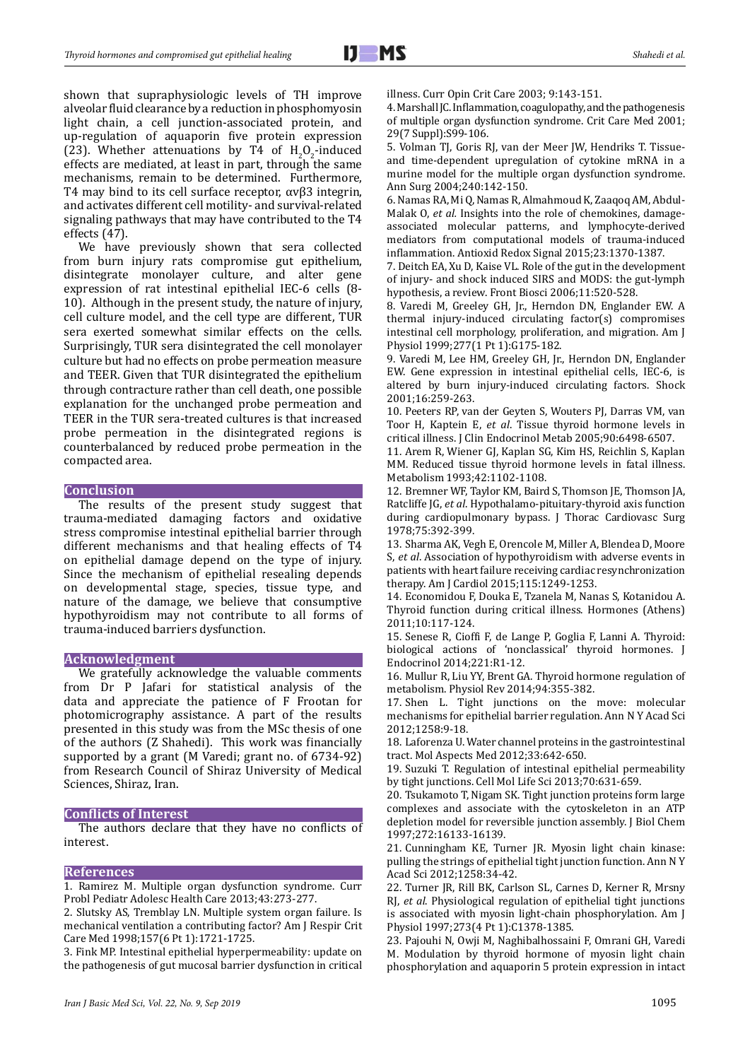shown that supraphysiologic levels of TH improve alveolar fluid clearance by a reduction in phosphomyosin light chain, a cell junction-associated protein, and up-regulation of aquaporin five protein expression (23). Whether attenuations by T4 of  $H_2O_2$ -induced effects are mediated, at least in part, through the same mechanisms, remain to be determined. Furthermore, T4 may bind to its cell surface receptor, αvβ3 integrin, and activates different cell motility- and survival-related signaling pathways that may have contributed to the T4 effects (47).

We have previously shown that sera collected from burn injury rats compromise gut epithelium, disintegrate monolayer culture, and alter gene expression of rat intestinal epithelial IEC-6 cells (8- 10). Although in the present study, the nature of injury, cell culture model, and the cell type are different, TUR sera exerted somewhat similar effects on the cells. Surprisingly, TUR sera disintegrated the cell monolayer culture but had no effects on probe permeation measure and TEER. Given that TUR disintegrated the epithelium through contracture rather than cell death, one possible explanation for the unchanged probe permeation and TEER in the TUR sera-treated cultures is that increased probe permeation in the disintegrated regions is counterbalanced by reduced probe permeation in the compacted area.

#### **Conclusion**

The results of the present study suggest that trauma-mediated damaging factors and oxidative stress compromise intestinal epithelial barrier through different mechanisms and that healing effects of T4 on epithelial damage depend on the type of injury. Since the mechanism of epithelial resealing depends on developmental stage, species, tissue type, and nature of the damage, we believe that consumptive hypothyroidism may not contribute to all forms of trauma-induced barriers dysfunction.

#### **Acknowledgment**

We gratefully acknowledge the valuable comments from Dr P Jafari for statistical analysis of the data and appreciate the patience of F Frootan for photomicrography assistance. A part of the results presented in this study was from the MSc thesis of one of the authors (Z Shahedi). This work was financially supported by a grant (M Varedi; grant no. of 6734-92) from Research Council of Shiraz University of Medical Sciences, Shiraz, Iran.

## **Conflicts of Interest**

The authors declare that they have no conflicts of interest.

#### **References**

1. Ramirez M. Multiple organ dysfunction syndrome. Curr Probl Pediatr Adolesc Health Care 2013;43:273-277.

2. Slutsky AS, Tremblay LN. Multiple system organ failure. Is mechanical ventilation a contributing factor? Am J Respir Crit Care Med 1998;157(6 Pt 1):1721-1725.

3. Fink MP. Intestinal epithelial hyperpermeability: update on the pathogenesis of gut mucosal barrier dysfunction in critical illness. Curr Opin Crit Care 2003; 9:143-151.

4. Marshall JC. Inflammation, coagulopathy, and the pathogenesis of multiple organ dysfunction syndrome. Crit Care Med 2001; 29(7 Suppl):S99-106.

5. Volman TJ, Goris RJ, van der Meer JW, Hendriks T. Tissueand time-dependent upregulation of cytokine mRNA in a murine model for the multiple organ dysfunction syndrome. Ann Surg 2004;240:142-150.

6. Namas RA, Mi Q, Namas R, Almahmoud K, Zaaqoq AM, Abdul-Malak O, *et al.* Insights into the role of chemokines, damageassociated molecular patterns, and lymphocyte-derived mediators from computational models of trauma-induced inflammation. Antioxid Redox Signal 2015;23:1370-1387.

7. Deitch EA, Xu D, Kaise VL. Role of the gut in the development of injury- and shock induced SIRS and MODS: the gut-lymph hypothesis, a review. Front Biosci 2006;11:520-528.

8. Varedi M, Greeley GH, Jr., Herndon DN, Englander EW. A thermal injury-induced circulating factor(s) compromises intestinal cell morphology, proliferation, and migration. Am J Physiol 1999;277(1 Pt 1):G175-182.

9. Varedi M, Lee HM, Greeley GH, Jr., Herndon DN, Englander EW. Gene expression in intestinal epithelial cells, IEC-6, is altered by burn injury-induced circulating factors. Shock 2001;16:259-263.

10. Peeters RP, van der Geyten S, Wouters PJ, Darras VM, van Toor H, Kaptein E, *et al*. Tissue thyroid hormone levels in critical illness. J Clin Endocrinol Metab 2005;90:6498-6507.

11. Arem R, Wiener GJ, Kaplan SG, Kim HS, Reichlin S, Kaplan MM. Reduced tissue thyroid hormone levels in fatal illness. Metabolism 1993;42:1102-1108.

12. Bremner WF, Taylor KM, Baird S, Thomson JE, Thomson JA, Ratcliffe JG, *et al*. Hypothalamo-pituitary-thyroid axis function during cardiopulmonary bypass. J Thorac Cardiovasc Surg 1978;75:392-399.

13. Sharma AK, Vegh E, Orencole M, Miller A, Blendea D, Moore S, *et al*. Association of hypothyroidism with adverse events in patients with heart failure receiving cardiac resynchronization therapy. Am J Cardiol 2015;115:1249-1253.

14. Economidou F, Douka E, Tzanela M, Nanas S, Kotanidou A. Thyroid function during critical illness. Hormones (Athens) 2011;10:117-124.

15. Senese R, Cioffi F, de Lange P, Goglia F, Lanni A. Thyroid: biological actions of 'nonclassical' thyroid hormones. J Endocrinol 2014;221:R1-12.

16. Mullur R, Liu YY, Brent GA. Thyroid hormone regulation of metabolism. Physiol Rev 2014;94:355-382.

17. Shen L. Tight junctions on the move: molecular mechanisms for epithelial barrier regulation. Ann N Y Acad Sci 2012;1258:9-18.

18. Laforenza U. Water channel proteins in the gastrointestinal tract. Mol Aspects Med 2012;33:642-650.

19. Suzuki T. Regulation of intestinal epithelial permeability by tight junctions. Cell Mol Life Sci 2013;70:631-659.

20. Tsukamoto T, Nigam SK. Tight junction proteins form large complexes and associate with the cytoskeleton in an ATP depletion model for reversible junction assembly. J Biol Chem 1997;272:16133-16139.

21. Cunningham KE, Turner JR. Myosin light chain kinase: pulling the strings of epithelial tight junction function. Ann N Y Acad Sci 2012;1258:34-42.

22. Turner JR, Rill BK, Carlson SL, Carnes D, Kerner R, Mrsny RJ, *et al*. Physiological regulation of epithelial tight junctions is associated with myosin light-chain phosphorylation. Am J Physiol 1997;273(4 Pt 1):C1378-1385.

23. Pajouhi N, Owji M, Naghibalhossaini F, Omrani GH, Varedi M. Modulation by thyroid hormone of myosin light chain phosphorylation and aquaporin 5 protein expression in intact